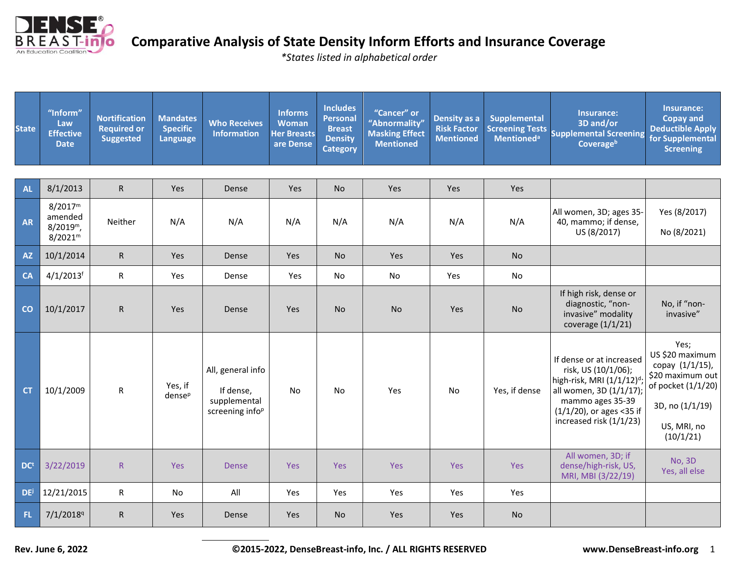

*\*States listed in alphabetical order*

| <b>State</b>    | "Inform"<br>Law<br><b>Effective</b><br><b>Date</b>                    | <b>Nortification</b><br><b>Required or</b><br><b>Suggested</b> | <b>Mandates</b><br><b>Specific</b><br>Language | <b>Who Receives</b><br><b>Information</b>                                     | <b>Informs</b><br><b>Woman</b><br><b>Her Breasts</b><br>are Dense | <b>Includes</b><br><b>Personal</b><br><b>Breast</b><br><b>Density</b><br><b>Category</b> | "Cancer" or<br>"Abnormality"<br><b>Masking Effect</b><br><b>Mentioned</b> | Density as a<br><b>Risk Factor</b><br><b>Mentioned</b> | <b>Supplemental</b><br><b>Screening Tests</b><br><b>Mentioned</b> <sup>a</sup> | <b>Insurance:</b><br>3D and/or<br><b>Supplemental Screening</b><br>Coverageb                                                                                                                  | Insurance:<br><b>Copay and</b><br><b>Deductible Apply</b><br>for Supplemental<br><b>Screening</b>                                   |
|-----------------|-----------------------------------------------------------------------|----------------------------------------------------------------|------------------------------------------------|-------------------------------------------------------------------------------|-------------------------------------------------------------------|------------------------------------------------------------------------------------------|---------------------------------------------------------------------------|--------------------------------------------------------|--------------------------------------------------------------------------------|-----------------------------------------------------------------------------------------------------------------------------------------------------------------------------------------------|-------------------------------------------------------------------------------------------------------------------------------------|
|                 |                                                                       |                                                                |                                                |                                                                               |                                                                   |                                                                                          |                                                                           |                                                        |                                                                                |                                                                                                                                                                                               |                                                                                                                                     |
| <b>AL</b>       | 8/1/2013                                                              | $\mathsf{R}$                                                   | Yes                                            | Dense                                                                         | Yes                                                               | No                                                                                       | Yes                                                                       | Yes                                                    | Yes                                                                            |                                                                                                                                                                                               |                                                                                                                                     |
| <b>AR</b>       | 8/2017 <sup>m</sup><br>amended<br>$8/2019^m$ ,<br>8/2021 <sup>m</sup> | Neither                                                        | N/A                                            | N/A                                                                           | N/A                                                               | N/A                                                                                      | N/A                                                                       | N/A                                                    | N/A                                                                            | All women, 3D; ages 35-<br>40, mammo; if dense,<br>US (8/2017)                                                                                                                                | Yes (8/2017)<br>No (8/2021)                                                                                                         |
| <b>AZ</b>       | 10/1/2014                                                             | $\mathsf{R}$                                                   | Yes                                            | Dense                                                                         | Yes                                                               | <b>No</b>                                                                                | <b>Yes</b>                                                                | Yes                                                    | <b>No</b>                                                                      |                                                                                                                                                                                               |                                                                                                                                     |
| <b>CA</b>       | $4/1/2013$ <sup>f</sup>                                               | ${\sf R}$                                                      | Yes                                            | Dense                                                                         | Yes                                                               | No                                                                                       | No                                                                        | Yes                                                    | No                                                                             |                                                                                                                                                                                               |                                                                                                                                     |
| CO              | 10/1/2017                                                             | $\mathsf{R}$                                                   | Yes                                            | Dense                                                                         | Yes                                                               | <b>No</b>                                                                                | <b>No</b>                                                                 | <b>Yes</b>                                             | <b>No</b>                                                                      | If high risk, dense or<br>diagnostic, "non-<br>invasive" modality<br>coverage (1/1/21)                                                                                                        | No, if "non-<br>invasive"                                                                                                           |
| <b>CT</b>       | 10/1/2009                                                             | ${\sf R}$                                                      | Yes, if<br>dense <sup>p</sup>                  | All, general info<br>If dense,<br>supplemental<br>screening info <sup>p</sup> | No                                                                | No                                                                                       | Yes                                                                       | No                                                     | Yes, if dense                                                                  | If dense or at increased<br>risk, US (10/1/06);<br>high-risk, MRI (1/1/12) <sup>d</sup><br>all women, 3D (1/1/17);<br>mammo ages 35-39<br>(1/1/20), or ages <35 if<br>increased risk (1/1/23) | Yes;<br>US \$20 maximum<br>copay (1/1/15),<br>\$20 maximum out<br>of pocket (1/1/20)<br>3D, no (1/1/19)<br>US, MRI, no<br>(10/1/21) |
| DC <sup>t</sup> | 3/22/2019                                                             | ${\sf R}$                                                      | Yes                                            | Dense                                                                         | Yes                                                               | Yes                                                                                      | Yes                                                                       | Yes                                                    | Yes                                                                            | All women, 3D; if<br>dense/high-risk, US,<br>MRI, MBI (3/22/19)                                                                                                                               | <b>No, 3D</b><br>Yes, all else                                                                                                      |
| <b>DE</b>       | 12/21/2015                                                            | $\mathsf{R}$                                                   | No                                             | All                                                                           | Yes                                                               | Yes                                                                                      | Yes                                                                       | Yes                                                    | Yes                                                                            |                                                                                                                                                                                               |                                                                                                                                     |
| FL.             | 7/1/2018 <sup>q</sup>                                                 | ${\sf R}$                                                      | Yes                                            | Dense                                                                         | Yes                                                               | <b>No</b>                                                                                | Yes                                                                       | <b>Yes</b>                                             | <b>No</b>                                                                      |                                                                                                                                                                                               |                                                                                                                                     |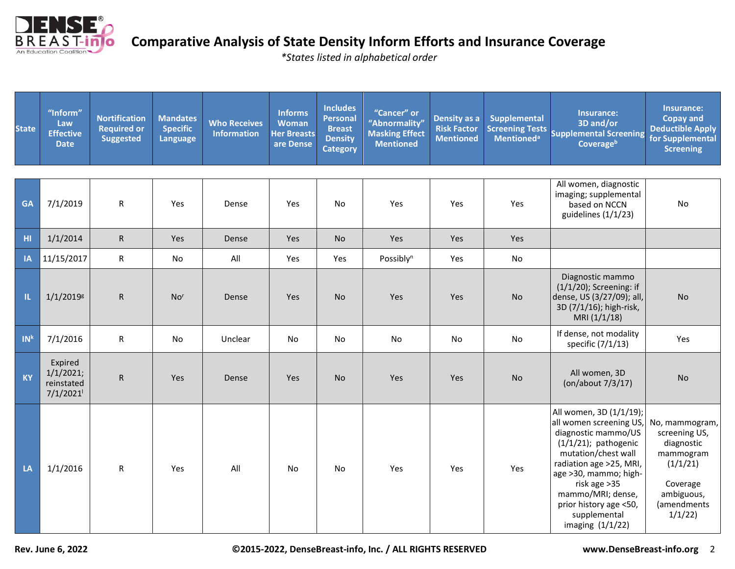

*\*States listed in alphabetical order*

| <b>State</b>    | "Inform"<br>Law<br><b>Effective</b><br><b>Date</b> | <b>Nortification</b><br><b>Required or</b><br><b>Suggested</b> | <b>Mandates</b><br><b>Specific</b><br><b>Language</b> | <b>Who Receives</b><br><b>Information</b> | <b>Informs</b><br><b>Woman</b><br><b>Her Breasts</b><br>are Dense | <b>Includes</b><br><b>Personal</b><br><b>Breast</b><br><b>Density</b><br><b>Category</b> | "Cancer" or<br>"Abnormality"<br><b>Masking Effect</b><br><b>Mentioned</b> | Density as a<br><b>Risk Factor</b><br><b>Mentioned</b> | <b>Supplemental</b> | Insurance:<br>3D and/or<br>Screening Tests<br>Supplemental Screening<br><b>Coverage</b> <sup>b</sup>                                                                                                                                                                                  | Insurance:<br><b>Copay and</b><br><b>Deductible Apply</b><br>for Supplemental<br><b>Screening</b>                         |
|-----------------|----------------------------------------------------|----------------------------------------------------------------|-------------------------------------------------------|-------------------------------------------|-------------------------------------------------------------------|------------------------------------------------------------------------------------------|---------------------------------------------------------------------------|--------------------------------------------------------|---------------------|---------------------------------------------------------------------------------------------------------------------------------------------------------------------------------------------------------------------------------------------------------------------------------------|---------------------------------------------------------------------------------------------------------------------------|
|                 |                                                    |                                                                |                                                       |                                           |                                                                   |                                                                                          |                                                                           |                                                        |                     |                                                                                                                                                                                                                                                                                       |                                                                                                                           |
| <b>GA</b>       | 7/1/2019                                           | $\mathsf R$                                                    | Yes                                                   | Dense                                     | Yes                                                               | No                                                                                       | Yes                                                                       | Yes                                                    | Yes                 | All women, diagnostic<br>imaging; supplemental<br>based on NCCN<br>guidelines (1/1/23)                                                                                                                                                                                                | No                                                                                                                        |
| H1              | 1/1/2014                                           | $\mathsf{R}$                                                   | Yes                                                   | Dense                                     | Yes                                                               | <b>No</b>                                                                                | Yes                                                                       | Yes                                                    | Yes                 |                                                                                                                                                                                                                                                                                       |                                                                                                                           |
| <b>IA</b>       | 11/15/2017                                         | $\mathsf{R}$                                                   | No                                                    | All                                       | Yes                                                               | Yes                                                                                      | Possibly <sup>n</sup>                                                     | Yes                                                    | No                  |                                                                                                                                                                                                                                                                                       |                                                                                                                           |
| п.              | $1/1/2019$ <sup>g</sup>                            | $\mathsf{R}$                                                   | No <sup>r</sup>                                       | Dense                                     | Yes                                                               | <b>No</b>                                                                                | Yes                                                                       | Yes                                                    | No                  | Diagnostic mammo<br>$(1/1/20)$ ; Screening: if<br>dense, US (3/27/09); all,<br>3D (7/1/16); high-risk,<br>MRI (1/1/18)                                                                                                                                                                | <b>No</b>                                                                                                                 |
| IN <sup>k</sup> | 7/1/2016                                           | ${\sf R}$                                                      | No                                                    | Unclear                                   | No                                                                | No                                                                                       | No                                                                        | No                                                     | No                  | If dense, not modality<br>specific (7/1/13)                                                                                                                                                                                                                                           | Yes                                                                                                                       |
| <b>KY</b>       | Expired<br>1/1/2021;<br>reinstated<br>7/1/2021     | $\mathsf R$                                                    | Yes                                                   | Dense                                     | Yes                                                               | No                                                                                       | Yes                                                                       | Yes                                                    | <b>No</b>           | All women, 3D<br>(on/about 7/3/17)                                                                                                                                                                                                                                                    | <b>No</b>                                                                                                                 |
| LA              | 1/1/2016                                           | $\mathsf{R}$                                                   | Yes                                                   | All                                       | No                                                                | No                                                                                       | Yes                                                                       | Yes                                                    | Yes                 | All women, 3D (1/1/19);<br>all women screening US,<br>diagnostic mammo/US<br>$(1/1/21)$ ; pathogenic<br>mutation/chest wall<br>radiation age >25, MRI,<br>age >30, mammo; high-<br>risk age > 35<br>mammo/MRI; dense,<br>prior history age <50,<br>supplemental<br>imaging $(1/1/22)$ | No, mammogram,<br>screening US,<br>diagnostic<br>mammogram<br>(1/1/21)<br>Coverage<br>ambiguous,<br>(amendments<br>1/1/22 |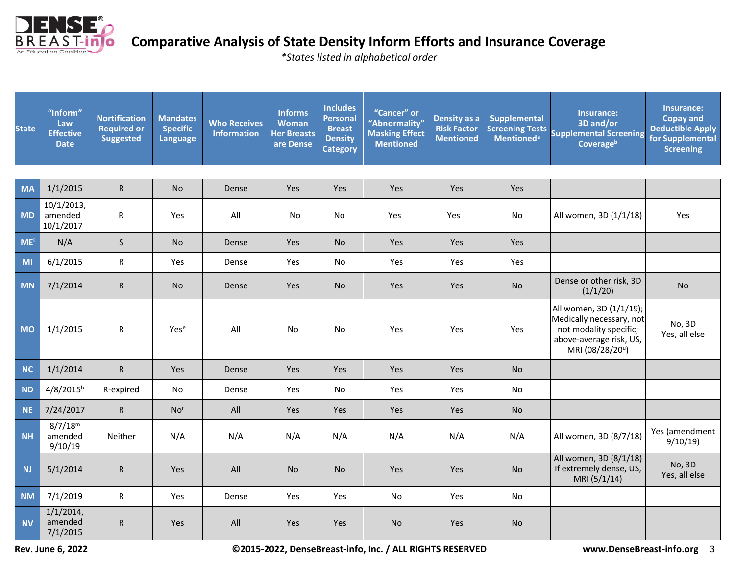

*\*States listed in alphabetical order*

| <b>State</b> | "Inform"<br>Law<br><b>Effective</b><br><b>Date</b> | <b>Nortification</b><br><b>Required or</b><br><b>Suggested</b> | <b>Mandates</b><br><b>Specific</b><br><b>Language</b> | <b>Who Receives</b><br><b>Information</b> | <b>Informs</b><br>Woman<br><b>Her Breasts</b><br>are Dense | <b>Includes</b><br><b>Personal</b><br><b>Breast</b><br><b>Density</b><br><b>Category</b> | "Cancer" or<br>"Abnormality"<br><b>Masking Effect</b><br><b>Mentioned</b> | Density as a<br><b>Risk Factor</b><br><b>Mentioned</b> | <b>Supplemental</b> | Insurance:<br>3D and/or<br>Screening Tests<br>Supplemental Screening<br>Coverageb                                           | Insurance:<br><b>Copay and</b><br><b>Deductible Apply</b><br>for Supplemental<br><b>Screening</b> |
|--------------|----------------------------------------------------|----------------------------------------------------------------|-------------------------------------------------------|-------------------------------------------|------------------------------------------------------------|------------------------------------------------------------------------------------------|---------------------------------------------------------------------------|--------------------------------------------------------|---------------------|-----------------------------------------------------------------------------------------------------------------------------|---------------------------------------------------------------------------------------------------|
|              |                                                    |                                                                |                                                       |                                           |                                                            |                                                                                          |                                                                           |                                                        |                     |                                                                                                                             |                                                                                                   |
| <b>MA</b>    | 1/1/2015                                           | ${\sf R}$                                                      | No                                                    | Dense                                     | <b>Yes</b>                                                 | Yes                                                                                      | Yes                                                                       | Yes                                                    | Yes                 |                                                                                                                             |                                                                                                   |
| <b>MD</b>    | 10/1/2013,<br>amended<br>10/1/2017                 | R                                                              | Yes                                                   | All                                       | No                                                         | No                                                                                       | Yes                                                                       | Yes                                                    | No                  | All women, 3D (1/1/18)                                                                                                      | Yes                                                                                               |
| <b>ME</b>    | N/A                                                | $\sf S$                                                        | <b>No</b>                                             | Dense                                     | Yes                                                        | <b>No</b>                                                                                | Yes                                                                       | Yes                                                    | Yes                 |                                                                                                                             |                                                                                                   |
| MI           | 6/1/2015                                           | ${\sf R}$                                                      | Yes                                                   | Dense                                     | Yes                                                        | No                                                                                       | Yes                                                                       | Yes                                                    | Yes                 |                                                                                                                             |                                                                                                   |
| <b>MN</b>    | 7/1/2014                                           | $\mathsf{R}$                                                   | No                                                    | Dense                                     | Yes                                                        | <b>No</b>                                                                                | Yes                                                                       | Yes                                                    | No                  | Dense or other risk, 3D<br>(1/1/20)                                                                                         | <b>No</b>                                                                                         |
| <b>MO</b>    | 1/1/2015                                           | ${\sf R}$                                                      | Yese                                                  | All                                       | No                                                         | No                                                                                       | Yes                                                                       | Yes                                                    | Yes                 | All women, 3D (1/1/19);<br>Medically necessary, not<br>not modality specific;<br>above-average risk, US,<br>MRI (08/28/20") | No, 3D<br>Yes, all else                                                                           |
| <b>NC</b>    | 1/1/2014                                           | ${\sf R}$                                                      | Yes                                                   | Dense                                     | Yes                                                        | Yes                                                                                      | Yes                                                                       | Yes                                                    | <b>No</b>           |                                                                                                                             |                                                                                                   |
| <b>ND</b>    | 4/8/2015h                                          | R-expired                                                      | No                                                    | Dense                                     | Yes                                                        | No                                                                                       | Yes                                                                       | Yes                                                    | No                  |                                                                                                                             |                                                                                                   |
| <b>NE</b>    | 7/24/2017                                          | ${\sf R}$                                                      | No <sup>r</sup>                                       | All                                       | Yes                                                        | Yes                                                                                      | Yes                                                                       | Yes                                                    | <b>No</b>           |                                                                                                                             |                                                                                                   |
| <b>NH</b>    | 8/7/18 <sup>m</sup><br>amended<br>9/10/19          | Neither                                                        | N/A                                                   | N/A                                       | N/A                                                        | N/A                                                                                      | N/A                                                                       | N/A                                                    | N/A                 | All women, 3D (8/7/18)                                                                                                      | Yes (amendment<br>9/10/19                                                                         |
| <b>NJ</b>    | 5/1/2014                                           | $\mathsf{R}$                                                   | Yes                                                   | All                                       | <b>No</b>                                                  | <b>No</b>                                                                                | Yes                                                                       | Yes                                                    | <b>No</b>           | All women, 3D (8/1/18)<br>If extremely dense, US,<br>MRI (5/1/14)                                                           | No, 3D<br>Yes, all else                                                                           |
| <b>NM</b>    | 7/1/2019                                           | ${\sf R}$                                                      | Yes                                                   | Dense                                     | Yes                                                        | Yes                                                                                      | No                                                                        | Yes                                                    | No                  |                                                                                                                             |                                                                                                   |
| <b>NV</b>    | $1/1/2014$ ,<br>amended<br>7/1/2015                | ${\sf R}$                                                      | Yes                                                   | All                                       | Yes                                                        | Yes                                                                                      | <b>No</b>                                                                 | Yes                                                    | <b>No</b>           |                                                                                                                             |                                                                                                   |

**Rev. June 6, 2022 ©2015-2022, DenseBreast-info, Inc. / ALL RIGHTS RESERVED www.DenseBreast-info.org** 3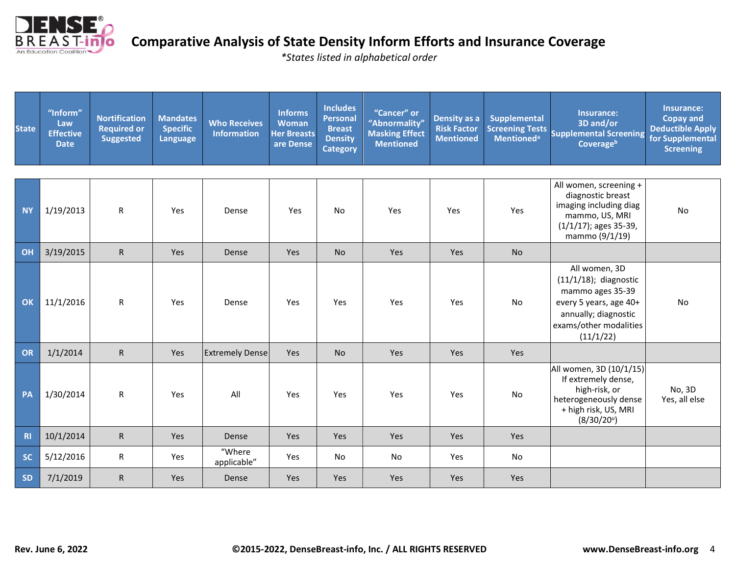

*\*States listed in alphabetical order*

| <b>State</b> | "Inform"<br>Law<br><b>Effective</b><br><b>Date</b> | <b>Nortification</b><br><b>Required or</b><br><b>Suggested</b> | <b>Mandates</b><br><b>Specific</b><br>Language | <b>Who Receives</b><br><b>Information</b> | <b>Informs</b><br><b>Woman</b><br><b>Her Breasts</b><br>are Dense | <b>Includes</b><br><b>Personal</b><br><b>Breast</b><br><b>Density</b><br><b>Category</b> | "Cancer" or<br>"Abnormality"<br><b>Masking Effect</b><br><b>Mentioned</b> | Density as a<br><b>Risk Factor</b><br><b>Mentioned</b> | <b>Supplemental</b><br><b>Screening Tests</b><br><b>Mentioned</b> <sup>a</sup> | Insurance:<br>3D and/or<br><b>Supplemental Screening</b><br>Coverageb                                                                                  | Insurance:<br><b>Copay and</b><br><b>Deductible Apply</b><br>for Supplemental<br><b>Screening</b> |
|--------------|----------------------------------------------------|----------------------------------------------------------------|------------------------------------------------|-------------------------------------------|-------------------------------------------------------------------|------------------------------------------------------------------------------------------|---------------------------------------------------------------------------|--------------------------------------------------------|--------------------------------------------------------------------------------|--------------------------------------------------------------------------------------------------------------------------------------------------------|---------------------------------------------------------------------------------------------------|
|              |                                                    |                                                                |                                                |                                           |                                                                   |                                                                                          |                                                                           |                                                        |                                                                                | All women, screening +                                                                                                                                 |                                                                                                   |
| <b>NY</b>    | 1/19/2013                                          | $\mathsf{R}$                                                   | Yes                                            | Dense                                     | Yes                                                               | No                                                                                       | Yes                                                                       | Yes                                                    | Yes                                                                            | diagnostic breast<br>imaging including diag<br>mammo, US, MRI<br>(1/1/17); ages 35-39,<br>mammo (9/1/19)                                               | No                                                                                                |
| OH           | 3/19/2015                                          | $\mathsf R$                                                    | Yes                                            | Dense                                     | Yes                                                               | <b>No</b>                                                                                | Yes                                                                       | Yes                                                    | <b>No</b>                                                                      |                                                                                                                                                        |                                                                                                   |
| OK           | 11/1/2016                                          | ${\sf R}$                                                      | Yes                                            | Dense                                     | Yes                                                               | Yes                                                                                      | Yes                                                                       | Yes                                                    | No                                                                             | All women, 3D<br>$(11/1/18)$ ; diagnostic<br>mammo ages 35-39<br>every 5 years, age 40+<br>annually; diagnostic<br>exams/other modalities<br>(11/1/22) | No                                                                                                |
| OR           | 1/1/2014                                           | ${\sf R}$                                                      | Yes                                            | <b>Extremely Dense</b>                    | Yes                                                               | No                                                                                       | Yes                                                                       | Yes                                                    | Yes                                                                            |                                                                                                                                                        |                                                                                                   |
| PA           | 1/30/2014                                          | $\mathsf R$                                                    | Yes                                            | All                                       | Yes                                                               | Yes                                                                                      | Yes                                                                       | Yes                                                    | No                                                                             | All women, 3D (10/1/15)<br>If extremely dense,<br>high-risk, or<br>heterogeneously dense<br>+ high risk, US, MRI<br>(8/30/20)                          | No, 3D<br>Yes, all else                                                                           |
| R1           | 10/1/2014                                          | $\mathsf R$                                                    | <b>Yes</b>                                     | Dense                                     | Yes                                                               | Yes                                                                                      | Yes                                                                       | Yes                                                    | Yes                                                                            |                                                                                                                                                        |                                                                                                   |
| <b>SC</b>    | 5/12/2016                                          | ${\sf R}$                                                      | Yes                                            | "Where<br>applicable"                     | Yes                                                               | No                                                                                       | No                                                                        | Yes                                                    | No                                                                             |                                                                                                                                                        |                                                                                                   |
| <b>SD</b>    | 7/1/2019                                           | $\mathsf R$                                                    | <b>Yes</b>                                     | Dense                                     | Yes                                                               | <b>Yes</b>                                                                               | Yes                                                                       | Yes                                                    | Yes                                                                            |                                                                                                                                                        |                                                                                                   |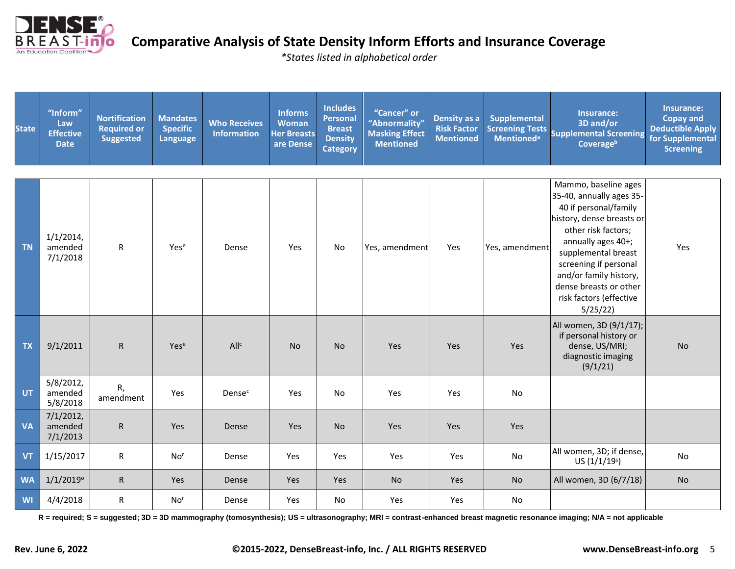

*\*States listed in alphabetical order*

| <b>State</b> | "Inform"<br>Law<br><b>Effective</b><br><b>Date</b> | <b>Nortification</b><br><b>Required or</b><br><b>Suggested</b> | <b>Mandates</b><br><b>Specific</b><br>Language | <b>Who Receives</b><br><b>Information</b> | Informs<br><b>Woman</b><br><b>Her Breasts</b><br>are Dense | <b>Includes</b><br><b>Personal</b><br><b>Breast</b><br><b>Density</b><br><b>Category</b> | "Cancer" or<br>"Abnormality"<br><b>Masking Effect</b><br><b>Mentioned</b> | Density as a<br><b>Risk Factor</b><br><b>Mentioned</b> | Supplemental   | Insurance:<br>3D and/or<br>Screening Tests<br>Supplemental Screening<br>Coverageb                                                                                                                                                                                                             | Insurance:<br><b>Copay and</b><br><b>Deductible Apply</b><br>for Supplemental<br><b>Screening</b> |
|--------------|----------------------------------------------------|----------------------------------------------------------------|------------------------------------------------|-------------------------------------------|------------------------------------------------------------|------------------------------------------------------------------------------------------|---------------------------------------------------------------------------|--------------------------------------------------------|----------------|-----------------------------------------------------------------------------------------------------------------------------------------------------------------------------------------------------------------------------------------------------------------------------------------------|---------------------------------------------------------------------------------------------------|
| <b>TN</b>    | $1/1/2014$ ,<br>amended<br>7/1/2018                | ${\sf R}$                                                      | Yese                                           | Dense                                     | Yes                                                        | <b>No</b>                                                                                | Yes, amendment                                                            | Yes                                                    | Yes, amendment | Mammo, baseline ages<br>35-40, annually ages 35-<br>40 if personal/family<br>history, dense breasts or<br>other risk factors;<br>annually ages 40+;<br>supplemental breast<br>screening if personal<br>and/or family history,<br>dense breasts or other<br>risk factors (effective<br>5/25/22 | Yes                                                                                               |
| <b>TX</b>    | 9/1/2011                                           | ${\sf R}$                                                      | Yese                                           | All <sup>c</sup>                          | <b>No</b>                                                  | <b>No</b>                                                                                | Yes                                                                       | Yes                                                    | Yes            | All women, 3D (9/1/17);<br>if personal history or<br>dense, US/MRI;<br>diagnostic imaging<br>(9/1/21)                                                                                                                                                                                         | <b>No</b>                                                                                         |
| <b>UT</b>    | 5/8/2012,<br>amended<br>5/8/2018                   | R,<br>amendment                                                | Yes                                            | Densec                                    | Yes                                                        | No                                                                                       | Yes                                                                       | Yes                                                    | No             |                                                                                                                                                                                                                                                                                               |                                                                                                   |
| <b>VA</b>    | 7/1/2012,<br>amended<br>7/1/2013                   | ${\sf R}$                                                      | Yes                                            | Dense                                     | Yes                                                        | <b>No</b>                                                                                | Yes                                                                       | Yes                                                    | Yes            |                                                                                                                                                                                                                                                                                               |                                                                                                   |
| <b>VT</b>    | 1/15/2017                                          | R                                                              | No <sup>r</sup>                                | Dense                                     | Yes                                                        | Yes                                                                                      | Yes                                                                       | Yes                                                    | No             | All women, 3D; if dense,<br>US(1/1/19 <sup>s</sup> )                                                                                                                                                                                                                                          | No                                                                                                |
| <b>WA</b>    | $1/1/2019^{\circ}$                                 | ${\sf R}$                                                      | Yes                                            | Dense                                     | Yes                                                        | Yes                                                                                      | <b>No</b>                                                                 | Yes                                                    | <b>No</b>      | All women, 3D (6/7/18)                                                                                                                                                                                                                                                                        | <b>No</b>                                                                                         |
| <b>WI</b>    | 4/4/2018                                           | $\mathsf{R}$                                                   | No <sup>r</sup>                                | Dense                                     | Yes                                                        | <b>No</b>                                                                                | Yes                                                                       | Yes                                                    | No             |                                                                                                                                                                                                                                                                                               |                                                                                                   |

**R = required; S = suggested; 3D = 3D mammography (tomosynthesis); US = ultrasonography; MRI = contrast-enhanced breast magnetic resonance imaging; N/A = not applicable**